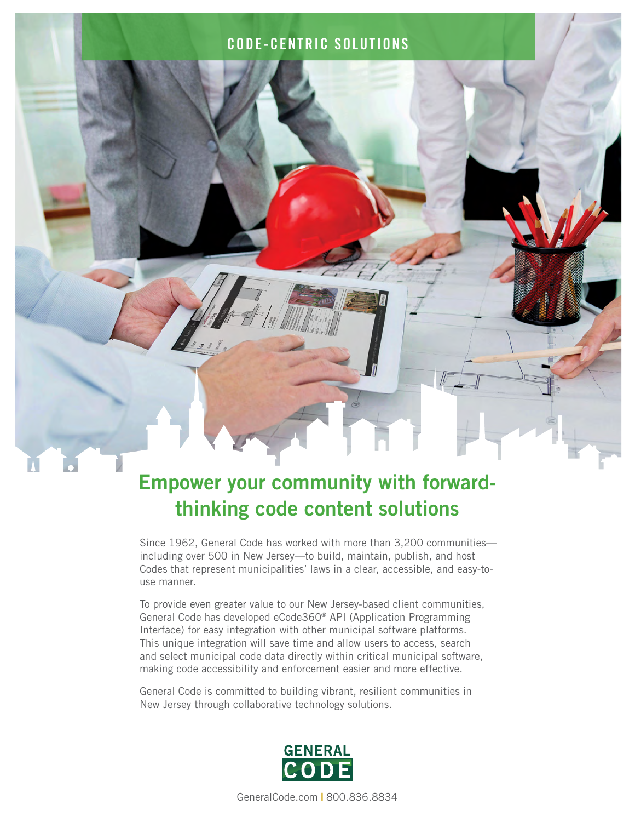#### CODE-CENTRIC SOLUTIONS



# Empower your community with forwardthinking code content solutions

Since 1962, General Code has worked with more than 3,200 communities including over 500 in New Jersey—to build, maintain, publish, and host Codes that represent municipalities' laws in a clear, accessible, and easy-touse manner.

To provide even greater value to our New Jersey-based client communities, General Code has developed eCode360® API (Application Programming Interface) for easy integration with other municipal software platforms. This unique integration will save time and allow users to access, search and select municipal code data directly within critical municipal software, making code accessibility and enforcement easier and more effective.

General Code is committed to building vibrant, resilient communities in New Jersey through collaborative technology solutions.



[GeneralCode.com](http://generalcode.com) **|** 800.836.8834